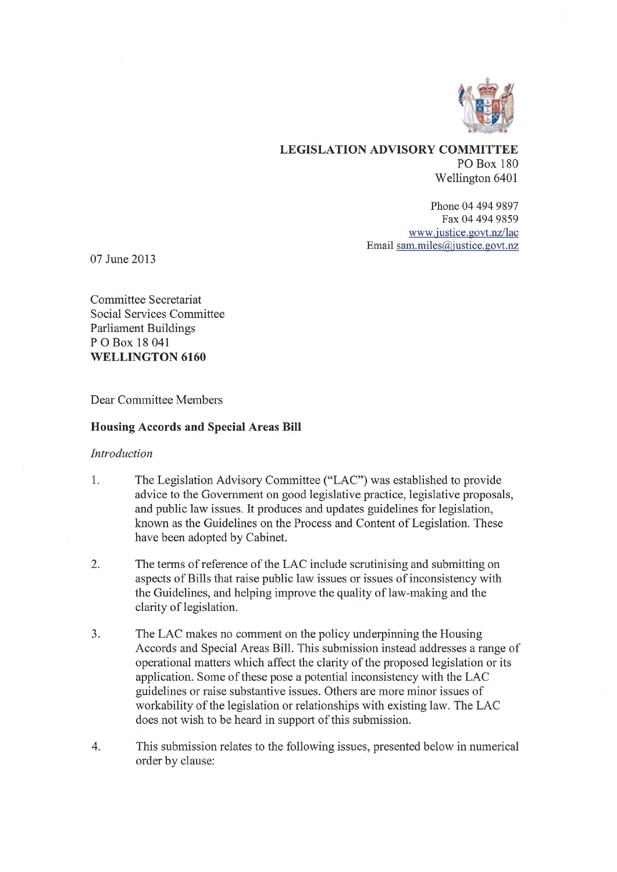

#### LEGISLATION ADVISORY COMMITTEE PO Box 180 Wellington 6401

Phone 04 494 9897 Fax 04 494 9859 www.justice.govt.nz/lac Email sam.miles@justice.govt.nz

07 June 2013

Committee Secretariat Social Services Committee Parliament Buildings P 0 Box 18 041 WELLINGTON 6160

Dear Committee Members

#### Housing Accords and Special Areas Bill

#### Introduction

- 1. The Legislation Advisory Committee ("LAC") was established to provide advice to the Government on good legislative practice, legislative proposals, and public law issues. It produces and updates guidelines for legislation, known as the Guidelines on the Process and Content of Legislation. These have been adopted by Cabinet.
- 2. The terms of reference of the LAC include scrutinising and submitting on aspects of Bills that raise public law issues or issues of inconsistency with the Guidelines, and helping improve the quality of law-making and the clarity of legislation.
- 3. The LAC makes no comment on the policy underpinning the Housing Accords and Special Areas Bill. This submission instead addresses a range of operational matters which affect the clarity of the proposed legislation or its application. Some of these pose a potential inconsistency with the LAC guidelines or raise substantive issues. Others are more minor issues of workability of the legislation or relationships with existing law. The LAC does not wish to be heard in support of this submission.
- 4. This submission relates to the following issues, presented below in numerical order by clause: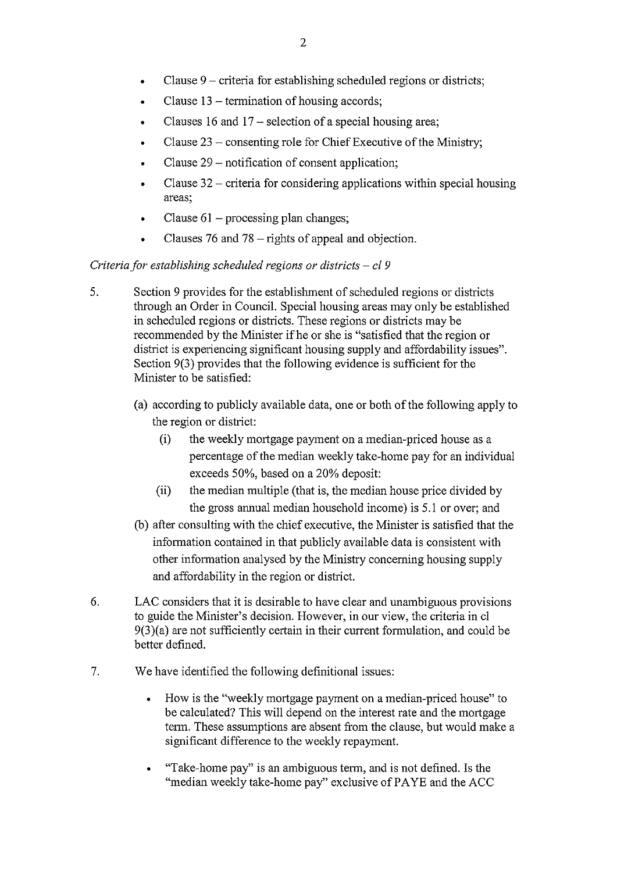- Clause 9 criteria for establishing scheduled regions or districts;
- Clause 13 termination of housing accords;
- Clauses 16 and 17 selection of a special housing area;
- Clause 23 consenting role for Chief Executive of the Ministry;
- Clause 29 notification of consent application;
- Clause  $32$  criteria for considering applications within special housing areas;
- Clause  $61$  processing plan changes;
- Clauses 76 and 78 rights of appeal and objection.

## Criteria for establishing scheduled regions or districts  $-$  cl 9

- 5. Section 9 provides for the establishment of scheduled regions or districts through an Order in Council. Special housing areas may only be established in scheduled regions or districts. These regions or districts may be recommended by the Minister if he or she is "satisfied that the region or district is experiencing significant housing supply and affordability issues". Section 9(3) provides that the following evidence is sufficient for the Minister to be satisfied:
	- (a) according to publicly available data, one or both of the following apply to the region or district:
		- (i) the weekly mortgage payment on a median-priced house as a percentage of the median weekly take-home pay for an individual exceeds 50%, based on a 20% deposit:
		- (ii) the median multiple (that is, the median house price divided by the gross annual median household income) is 5.1 or over; and
	- (b) after consulting with the chief executive, the Minister is satisfied that the information contained in that publicly available data is consistent with other information analysed by the Ministry concerning housing supply and affordability in the region or district.
- 6. LAC considers that it is desirable to have clear and unambiguous provisions to guide the Minister's decision. However, in our view, the criteria in el 9(3)(a) are not sufficiently certain in their current formulation, and could be better defined.
- 7. We have identified the following definitional issues:
	- How is the "weekly mortgage payment on a median-priced house" to be calculated? This will depend on the interest rate and the mortgage term. These assumptions are absent from the clause, but would make a significant difference to the weekly repayment.
	- "Take-home pay" is an ambiguous term, and is not defined. Is the "median weekly take-home pay" exclusive of PAYE and the ACC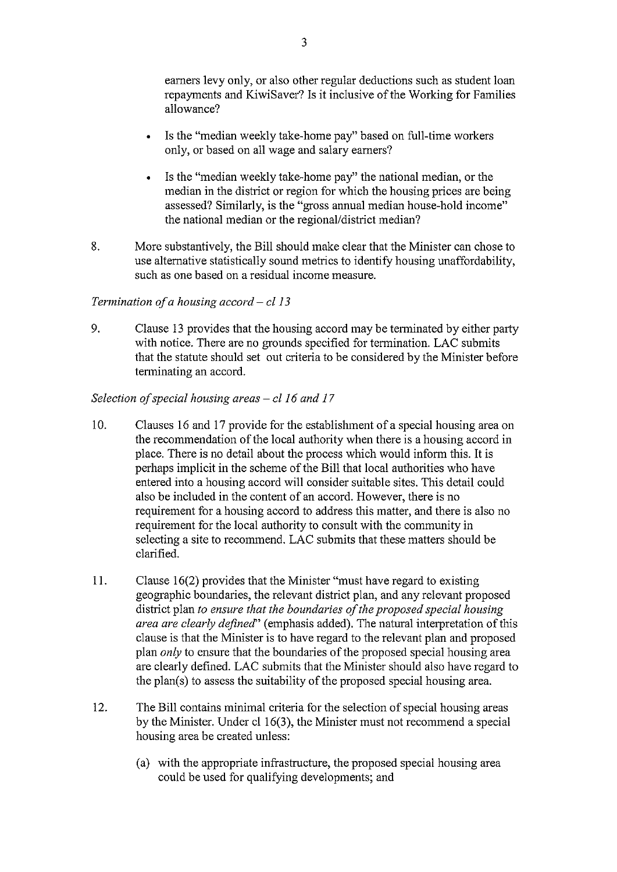earners levy only, or also other regular deductions such as student loan repayments and KiwiSaver? Is it inclusive of the Working for Families allowance?

- Is the "median weekly take-home pay" based on full-time workers only, or based on all wage and salary earners?
- Is the "median weekly take-home pay" the national median, or the median in the district or region for which the housing prices are being assessed? Similarly, is the "gross annual median house-hold income" the national median or the regional/district median?
- 8. More substantively, the Bill should make clear that the Minister can chose to use alternative statistically sound metrics to identify housing unaffordability, such as one based on a residual income measure.

## Termination of a housing accord  $-$  cl 13

9. Clause 13 provides that the housing accord may be terminated by either party with notice. There are no grounds specified for termination. LAC submits that the statute should set out criteria to be considered by the Minister before terminating an accord.

## Selection of special housing areas — cl 16 and 17

- 10. Clauses 16 and 17 provide for the establishment of a special housing area on the recommendation of the local authority when there is a housing accord in place. There is no detail about the process which would inform this. It is perhaps implicit in the scheme of the Bill that local authorities who have entered into a housing accord will consider suitable sites. This detail could also be included in the content of an accord. However, there is no requirement for a housing accord to address this matter, and there is also no requirement for the local authority to consult with the community in selecting a site to recommend. LAC submits that these matters should be clarified.
- 11. Clause 16(2) provides that the Minister "must have regard to existing geographic boundaries, the relevant district plan, and any relevant proposed district plan to ensure that the boundaries of the proposed special housing area are clearly defined" (emphasis added). The natural interpretation of this clause is that the Minister is to have regard to the relevant plan and proposed plan  $\partial$ u to ensure that the boundaries of the proposed special housing area are clearly defined. LAC submits that the Minister should also have regard to the plan(s) to assess the suitability of the proposed special housing area.
- 12. The Bill contains minimal criteria for the selection of special housing areas by the Minister. Under cl 16(3), the Minister must not recommend a special housing area be created unless:
	- (a) with the appropriate infrastructure, the proposed special housing area could be used for qualifying developments; and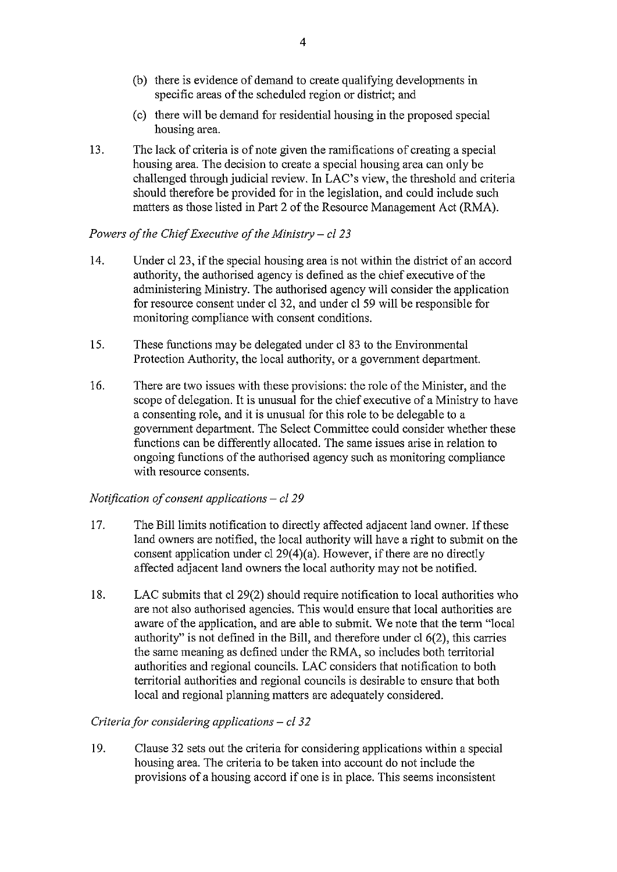- (b) there is evidence of demand to create qualifying developments in specific areas of the scheduled region or district; and
- (c) there will be demand for residential housing in the proposed special housing area.
- 13. The lack of criteria is of note given the ramifications of creating a special housing area. The decision to create a special housing area can only be challenged through judicial review. In LAC's view, the threshold and criteria should therefore be provided for in the legislation, and could include such matters as those listed in Part 2 of the Resource Management Act (RMA).

## Powers of the Chief Executive of the Ministry  $-$  cl 23

- 14. Under el 23, if the special housing area is not within the district of an accord authority, the authorised agency is defined as the chief executive of the administering Ministry. The authorised agency will consider the application for resource consent under el 32, and under el 59 will be responsible for monitoring compliance with consent conditions.
- 15. These functions may be delegated under el 83 to the Environmental Protection Authority, the local authority, or a government department.
- 16. There are two issues with these provisions: the role of the Minister, and the scope of delegation. It is unusual for the chief executive of a Ministry to have a consenting role, and it is unusual for this role to be delegable to a government department. The Select Committee could consider whether these functions can be differently allocated. The same issues arise in relation to ongoing functions of the authorised agency such as monitoring compliance with resource consents.

## Notification of consent applications — el 29

- 17. The Bill limits notification to directly affected adjacent land owner. If these land owners are notified, the local authority will have a right to submit on the consent application under el 29(4)(a). However, if there are no directly affected adjacent land owners the local authority may not be notified.
- 18. LAC submits that el 29(2) should require notification to local authorities who are not also authorised agencies. This would ensure that local authorities are aware of the application, and are able to submit. We note that the term "local authority" is not defined in the Bill, and therefore under el 6(2), this carries the same meaning as defined under the RMA, so includes both territorial authorities and regional councils. LAC considers that notification to both territorial authorities and regional councils is desirable to ensure that both local and regional planning matters are adequately considered.

## Criteria for considering applications  $-$  cl 32

19. Clause 32 sets out the criteria for considering applications within a special housing area. The criteria to be taken into account do not include the provisions of a housing accord if one is in place. This seems inconsistent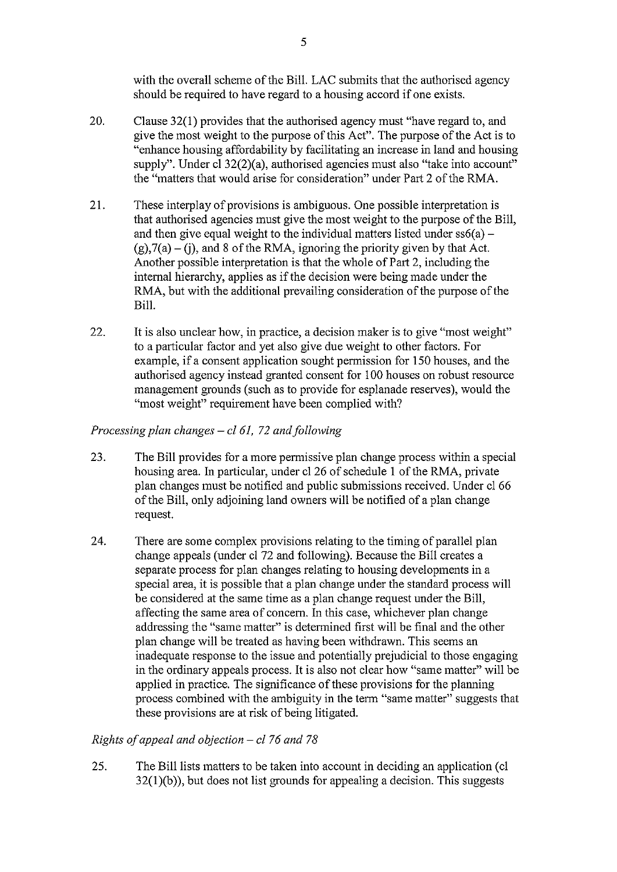with the overall scheme of the Bill. LAC submits that the authorised agency should be required to have regard to a housing accord if one exists.

- 20. Clause 32(1) provides that the authorised agency must "have regard to, and give the most weight to the purpose of this Act". The purpose of the Act is to "enhance housing affordability by facilitating an increase in land and housing supply". Under cl 32(2)(a), authorised agencies must also "take into account" the "matters that would arise for consideration" under Part 2 of the RMA.
- 21. These interplay of provisions is ambiguous. One possible interpretation is that authorised agencies must give the most weight to the purpose of the Bill, and then give equal weight to the individual matters listed under  $ss6(a)$  –  $(g)$ ,7(a) – (j), and 8 of the RMA, ignoring the priority given by that Act. Another possible interpretation is that the whole of Part 2, including the internal hierarchy, applies as if the decision were being made under the RMA, but with the additional prevailing consideration of the purpose of the Bill.
- 22. It is also unclear how, in practice, a decision maker is to give "most weight" to a particular factor and yet also give due weight to other factors. For example, if a consent application sought permission for 150 houses, and the authorised agency instead granted consent for 100 houses on robust resource management grounds (such as to provide for esplanade reserves), would the "most weight" requirement have been complied with?

# Processing plan changes  $-$  cl 61, 72 and following

- 23. The Bill provides for a more permissive plan change process within a special housing area. In particular, under cl 26 of schedule 1 of the RMA, private plan changes must be notified and public submissions received. Under cl 66 of the Bill, only adjoining land owners will be notified of a plan change request.
- 24. There are some complex provisions relating to the timing of parallel plan change appeals (under cl 72 and following). Because the Bill creates a separate process for plan changes relating to housing developments in a special area, it is possible that a plan change under the standard process will be considered at the same time as a plan change request under the Bill, affecting the same area of concern. In this case, whichever plan change addressing the "same matter" is determined first will be final and the other plan change will be treated as having been withdrawn. This seems an inadequate response to the issue and potentially prejudicial to those engaging in the ordinary appeals process. It is also not clear how "same matter" will be applied in practice. The significance of these provisions for the planning process combined with the ambiguity in the term "same matter" suggests that these provisions are at risk of being litigated.

## Rights of appeal and objection  $-$  cl 76 and 78

25. The Bill lists matters to be taken into account in deciding an application (c1 32(1)(b)), but does not list grounds for appealing a decision. This suggests